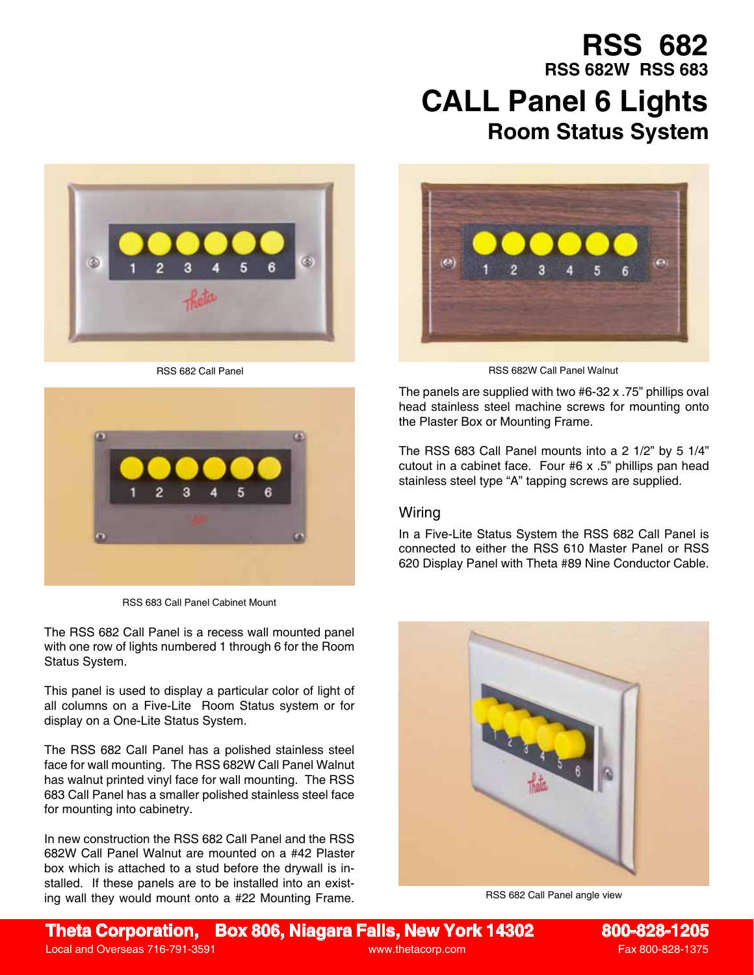## **Room Status System RSS 682 RSS 682W RSS 683 CALL Panel 6 Lights**





RSS 683 Call Panel Cabinet Mount

The RSS 682 Call Panel is a recess wall mounted panel with one row of lights numbered 1 through 6 for the Room Status System.

This panel is used to display a particular color of light of all columns on a Five-Lite Room Status system or for display on a One-Lite Status System.

The RSS 682 Call Panel has a polished stainless steel face for wall mounting. The RSS 682W Call Panel Walnut has walnut printed vinyl face for wall mounting. The RSS 683 Call Panel has a smaller polished stainless steel face for mounting into cabinetry.

In new construction the RSS 682 Call Panel and the RSS 682W Call Panel Walnut are mounted on a #42 Plaster box which is attached to a stud before the drywall is installed. If these panels are to be installed into an existing wall they would mount onto a #22 Mounting Frame.



RSS 682 Call Panel **RSS 682W Call Panel Walnut** RSS 682W Call Panel Walnut

The panels are supplied with two #6-32 x .75" phillips oval head stainless steel machine screws for mounting onto the Plaster Box or Mounting Frame.

The RSS 683 Call Panel mounts into a 2 1/2" by 5 1/4" cutout in a cabinet face. Four #6 x .5" phillips pan head stainless steel type "A" tapping screws are supplied.

## Wiring

In a Five-Lite Status System the RSS 682 Call Panel is connected to either the RSS 610 Master Panel or RSS 620 Display Panel with Theta #89 Nine Conductor Cable.



RSS 682 Call Panel angle view

**Theta Corporation, Box 806, Niagara Falls, New York 14302 800-828-1205**

Local and Overseas 716-791-3591 **by the Contract Contract Contract Contract Contract Contract Contract Contract Contract Contract Contract Contract Contract Contract Contract Contract Contract Contract Contract Contract Co**